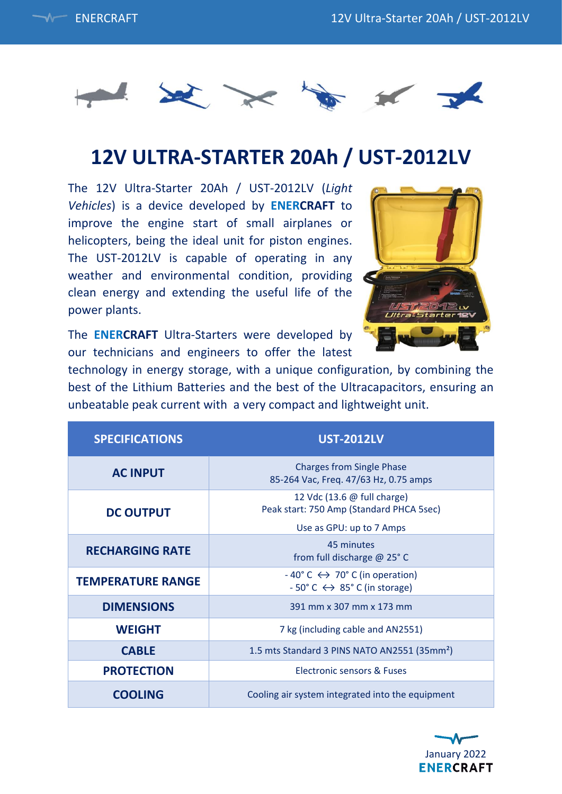



# **12V ULTRA-STARTER 20Ah / UST-2012LV**

The 12V Ultra-Starter 20Ah / UST-2012LV (*Light Vehicles*) is a device developed by **ENERCRAFT** to improve the engine start of small airplanes or helicopters, being the ideal unit for piston engines. The UST-2012LV is capable of operating in any weather and environmental condition, providing clean energy and extending the useful life of the power plants.



The **ENERCRAFT** Ultra-Starters were developed by our technicians and engineers to offer the latest

technology in energy storage, with a unique configuration, by combining the best of the Lithium Batteries and the best of the Ultracapacitors, ensuring an unbeatable peak current with a very compact and lightweight unit.

| <b>SPECIFICATIONS</b>    | <b>UST-2012LV</b>                                                                                                        |
|--------------------------|--------------------------------------------------------------------------------------------------------------------------|
| <b>AC INPUT</b>          | <b>Charges from Single Phase</b><br>85-264 Vac, Freq. 47/63 Hz, 0.75 amps                                                |
| <b>DC OUTPUT</b>         | 12 Vdc (13.6 @ full charge)<br>Peak start: 750 Amp (Standard PHCA 5sec)                                                  |
|                          | Use as GPU: up to 7 Amps                                                                                                 |
| <b>RECHARGING RATE</b>   | 45 minutes<br>from full discharge @ 25° C                                                                                |
| <b>TEMPERATURE RANGE</b> | $-40^{\circ}$ C $\leftrightarrow$ 70° C (in operation)<br>$-50^{\circ}$ C $\leftrightarrow$ 85 $^{\circ}$ C (in storage) |
| <b>DIMENSIONS</b>        | 391 mm x 307 mm x 173 mm                                                                                                 |
| <b>WEIGHT</b>            | 7 kg (including cable and AN2551)                                                                                        |
| <b>CABLE</b>             | 1.5 mts Standard 3 PINS NATO AN2551 (35mm <sup>2</sup> )                                                                 |
| <b>PROTECTION</b>        | Electronic sensors & Euses                                                                                               |
| <b>COOLING</b>           | Cooling air system integrated into the equipment                                                                         |